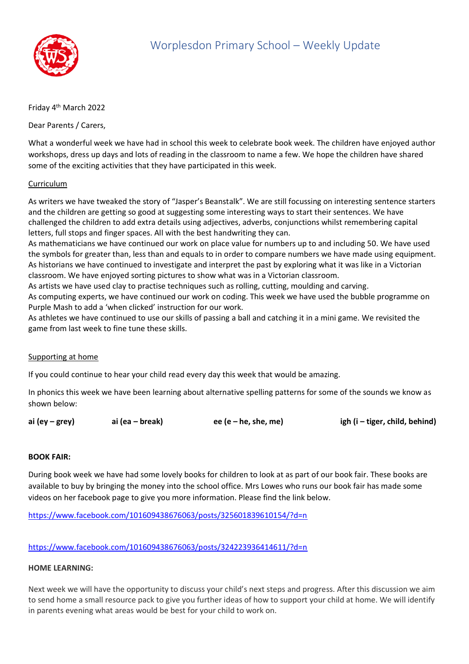

# Friday 4<sup>th</sup> March 2022

Dear Parents / Carers,

What a wonderful week we have had in school this week to celebrate book week. The children have enjoyed author workshops, dress up days and lots of reading in the classroom to name a few. We hope the children have shared some of the exciting activities that they have participated in this week.

### Curriculum

As writers we have tweaked the story of "Jasper's Beanstalk". We are still focussing on interesting sentence starters and the children are getting so good at suggesting some interesting ways to start their sentences. We have challenged the children to add extra details using adjectives, adverbs, conjunctions whilst remembering capital letters, full stops and finger spaces. All with the best handwriting they can.

As mathematicians we have continued our work on place value for numbers up to and including 50. We have used the symbols for greater than, less than and equals to in order to compare numbers we have made using equipment. As historians we have continued to investigate and interpret the past by exploring what it was like in a Victorian classroom. We have enjoyed sorting pictures to show what was in a Victorian classroom.

As artists we have used clay to practise techniques such as rolling, cutting, moulding and carving.

As computing experts, we have continued our work on coding. This week we have used the bubble programme on Purple Mash to add a 'when clicked' instruction for our work.

As athletes we have continued to use our skills of passing a ball and catching it in a mini game. We revisited the game from last week to fine tune these skills.

#### Supporting at home

If you could continue to hear your child read every day this week that would be amazing.

In phonics this week we have been learning about alternative spelling patterns for some of the sounds we know as shown below:

**ai (ey – grey) ai (ea – break) ee (e – he, she, me) igh (i – tiger, child, behind)**

#### **BOOK FAIR:**

During book week we have had some lovely books for children to look at as part of our book fair. These books are available to buy by bringing the money into the school office. Mrs Lowes who runs our book fair has made some videos on her facebook page to give you more information. Please find the link below.

<https://www.facebook.com/101609438676063/posts/325601839610154/?d=n>

<https://www.facebook.com/101609438676063/posts/324223936414611/?d=n>

## **HOME LEARNING:**

Next week we will have the opportunity to discuss your child's next steps and progress. After this discussion we aim to send home a small resource pack to give you further ideas of how to support your child at home. We will identify in parents evening what areas would be best for your child to work on.